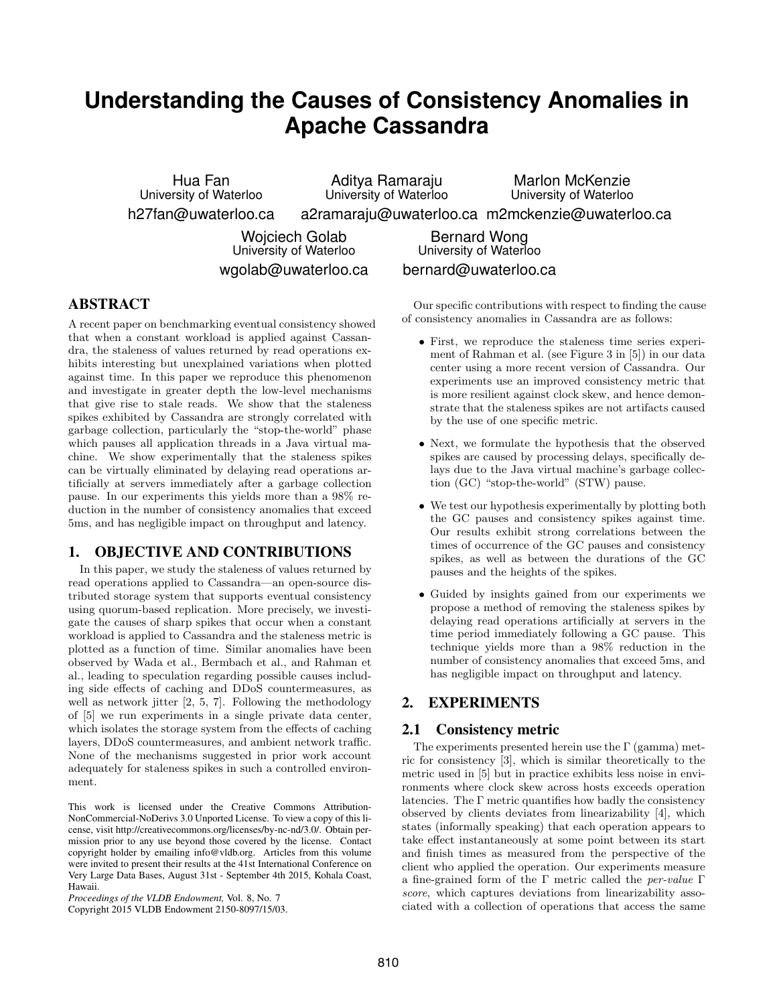# **Understanding the Causes of Consistency Anomalies in Apache Cassandra**

Hua Fan University of Waterloo h27fan@uwaterloo.ca

Aditya Ramaraju University of Waterloo

Marlon McKenzie University of Waterloo

a2ramaraju@uwaterloo.ca m2mckenzie@uwaterloo.ca

Wojciech Golab University of Waterloo wgolab@uwaterloo.ca

Bernard Wong University of Waterloo bernard@uwaterloo.ca

## ABSTRACT

A recent paper on benchmarking eventual consistency showed that when a constant workload is applied against Cassandra, the staleness of values returned by read operations exhibits interesting but unexplained variations when plotted against time. In this paper we reproduce this phenomenon and investigate in greater depth the low-level mechanisms that give rise to stale reads. We show that the staleness spikes exhibited by Cassandra are strongly correlated with garbage collection, particularly the "stop-the-world" phase which pauses all application threads in a Java virtual machine. We show experimentally that the staleness spikes can be virtually eliminated by delaying read operations artificially at servers immediately after a garbage collection pause. In our experiments this yields more than a 98% reduction in the number of consistency anomalies that exceed 5ms, and has negligible impact on throughput and latency.

## 1. OBJECTIVE AND CONTRIBUTIONS

In this paper, we study the staleness of values returned by read operations applied to Cassandra—an open-source distributed storage system that supports eventual consistency using quorum-based replication. More precisely, we investigate the causes of sharp spikes that occur when a constant workload is applied to Cassandra and the staleness metric is plotted as a function of time. Similar anomalies have been observed by Wada et al., Bermbach et al., and Rahman et al., leading to speculation regarding possible causes including side effects of caching and DDoS countermeasures, as well as network jitter [2, 5, 7]. Following the methodology of [5] we run experiments in a single private data center, which isolates the storage system from the effects of caching layers, DDoS countermeasures, and ambient network traffic. None of the mechanisms suggested in prior work account adequately for staleness spikes in such a controlled environment.

This work is licensed under the Creative Commons Attribution-NonCommercial-NoDerivs 3.0 Unported License. To view a copy of this license, visit http://creativecommons.org/licenses/by-nc-nd/3.0/. Obtain permission prior to any use beyond those covered by the license. Contact copyright holder by emailing info@vldb.org. Articles from this volume were invited to present their results at the 41st International Conference on Very Large Data Bases, August 31st - September 4th 2015, Kohala Coast, Hawaii.

*Proceedings of the VLDB Endowment,* Vol. 8, No. 7

Copyright 2015 VLDB Endowment 2150-8097/15/03.

Our specific contributions with respect to finding the cause of consistency anomalies in Cassandra are as follows:

- First, we reproduce the staleness time series experiment of Rahman et al. (see Figure 3 in [5]) in our data center using a more recent version of Cassandra. Our experiments use an improved consistency metric that is more resilient against clock skew, and hence demonstrate that the staleness spikes are not artifacts caused by the use of one specific metric.
- Next, we formulate the hypothesis that the observed spikes are caused by processing delays, specifically delays due to the Java virtual machine's garbage collection (GC) "stop-the-world" (STW) pause.
- We test our hypothesis experimentally by plotting both the GC pauses and consistency spikes against time. Our results exhibit strong correlations between the times of occurrence of the GC pauses and consistency spikes, as well as between the durations of the GC pauses and the heights of the spikes.
- Guided by insights gained from our experiments we propose a method of removing the staleness spikes by delaying read operations artificially at servers in the time period immediately following a GC pause. This technique yields more than a 98% reduction in the number of consistency anomalies that exceed 5ms, and has negligible impact on throughput and latency.

## 2. EXPERIMENTS

#### 2.1 Consistency metric

The experiments presented herein use the  $\Gamma$  (gamma) metric for consistency [3], which is similar theoretically to the metric used in [5] but in practice exhibits less noise in environments where clock skew across hosts exceeds operation latencies. The  $\Gamma$  metric quantifies how badly the consistency observed by clients deviates from linearizability [4], which states (informally speaking) that each operation appears to take effect instantaneously at some point between its start and finish times as measured from the perspective of the client who applied the operation. Our experiments measure a fine-grained form of the Γ metric called the per-value Γ score, which captures deviations from linearizability associated with a collection of operations that access the same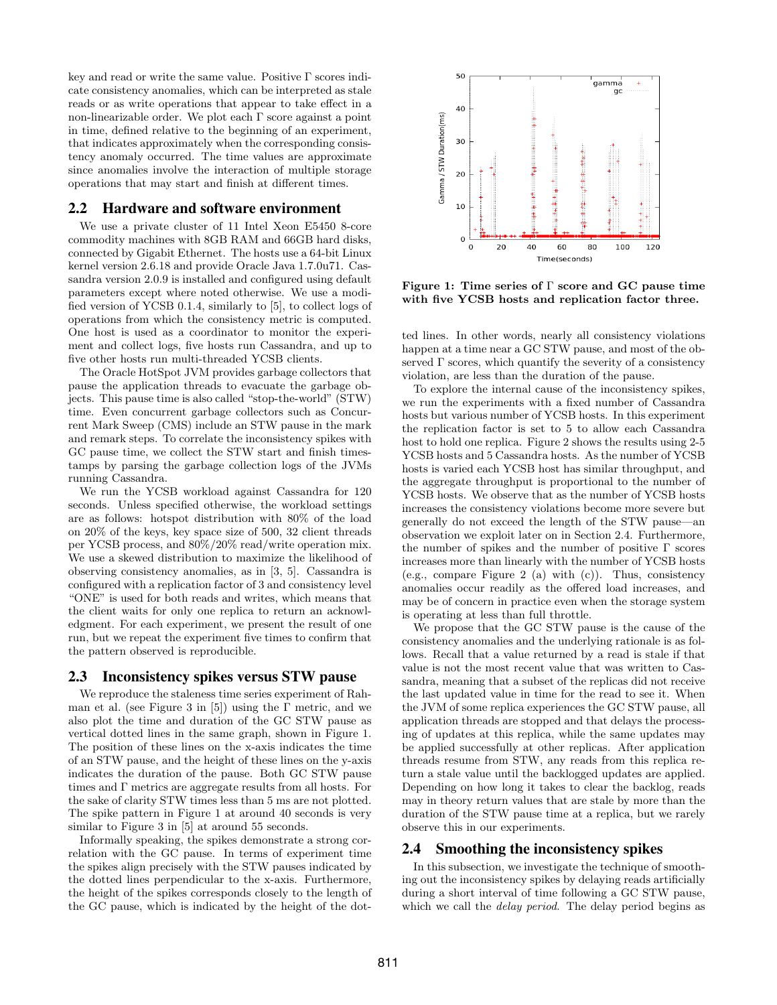key and read or write the same value. Positive Γ scores indicate consistency anomalies, which can be interpreted as stale reads or as write operations that appear to take effect in a non-linearizable order. We plot each Γ score against a point in time, defined relative to the beginning of an experiment, that indicates approximately when the corresponding consistency anomaly occurred. The time values are approximate since anomalies involve the interaction of multiple storage operations that may start and finish at different times.

#### 2.2 Hardware and software environment

We use a private cluster of 11 Intel Xeon E5450 8-core commodity machines with 8GB RAM and 66GB hard disks, connected by Gigabit Ethernet. The hosts use a 64-bit Linux kernel version 2.6.18 and provide Oracle Java 1.7.0u71. Cassandra version 2.0.9 is installed and configured using default parameters except where noted otherwise. We use a modified version of YCSB 0.1.4, similarly to [5], to collect logs of operations from which the consistency metric is computed. One host is used as a coordinator to monitor the experiment and collect logs, five hosts run Cassandra, and up to five other hosts run multi-threaded YCSB clients.

The Oracle HotSpot JVM provides garbage collectors that pause the application threads to evacuate the garbage objects. This pause time is also called "stop-the-world" (STW) time. Even concurrent garbage collectors such as Concurrent Mark Sweep (CMS) include an STW pause in the mark and remark steps. To correlate the inconsistency spikes with GC pause time, we collect the STW start and finish timestamps by parsing the garbage collection logs of the JVMs running Cassandra.

We run the YCSB workload against Cassandra for 120 seconds. Unless specified otherwise, the workload settings are as follows: hotspot distribution with 80% of the load on 20% of the keys, key space size of 500, 32 client threads per YCSB process, and 80%/20% read/write operation mix. We use a skewed distribution to maximize the likelihood of observing consistency anomalies, as in [3, 5]. Cassandra is configured with a replication factor of 3 and consistency level "ONE" is used for both reads and writes, which means that the client waits for only one replica to return an acknowledgment. For each experiment, we present the result of one run, but we repeat the experiment five times to confirm that the pattern observed is reproducible.

#### 2.3 Inconsistency spikes versus STW pause

We reproduce the staleness time series experiment of Rahman et al. (see Figure 3 in [5]) using the  $\Gamma$  metric, and we also plot the time and duration of the GC STW pause as vertical dotted lines in the same graph, shown in Figure 1. The position of these lines on the x-axis indicates the time of an STW pause, and the height of these lines on the y-axis indicates the duration of the pause. Both GC STW pause times and Γ metrics are aggregate results from all hosts. For the sake of clarity STW times less than 5 ms are not plotted. The spike pattern in Figure 1 at around 40 seconds is very similar to Figure 3 in [5] at around 55 seconds.

Informally speaking, the spikes demonstrate a strong correlation with the GC pause. In terms of experiment time the spikes align precisely with the STW pauses indicated by the dotted lines perpendicular to the x-axis. Furthermore, the height of the spikes corresponds closely to the length of the GC pause, which is indicated by the height of the dot-



Figure 1: Time series of Γ score and GC pause time with five YCSB hosts and replication factor three.

ted lines. In other words, nearly all consistency violations happen at a time near a GC STW pause, and most of the observed  $\Gamma$  scores, which quantify the severity of a consistency violation, are less than the duration of the pause.

To explore the internal cause of the inconsistency spikes, we run the experiments with a fixed number of Cassandra hosts but various number of YCSB hosts. In this experiment the replication factor is set to 5 to allow each Cassandra host to hold one replica. Figure 2 shows the results using 2-5 YCSB hosts and 5 Cassandra hosts. As the number of YCSB hosts is varied each YCSB host has similar throughput, and the aggregate throughput is proportional to the number of YCSB hosts. We observe that as the number of YCSB hosts increases the consistency violations become more severe but generally do not exceed the length of the STW pause—an observation we exploit later on in Section 2.4. Furthermore, the number of spikes and the number of positive  $\Gamma$  scores increases more than linearly with the number of YCSB hosts (e.g., compare Figure 2 (a) with  $(c)$ ). Thus, consistency anomalies occur readily as the offered load increases, and may be of concern in practice even when the storage system is operating at less than full throttle.

We propose that the GC STW pause is the cause of the consistency anomalies and the underlying rationale is as follows. Recall that a value returned by a read is stale if that value is not the most recent value that was written to Cassandra, meaning that a subset of the replicas did not receive the last updated value in time for the read to see it. When the JVM of some replica experiences the GC STW pause, all application threads are stopped and that delays the processing of updates at this replica, while the same updates may be applied successfully at other replicas. After application threads resume from STW, any reads from this replica return a stale value until the backlogged updates are applied. Depending on how long it takes to clear the backlog, reads may in theory return values that are stale by more than the duration of the STW pause time at a replica, but we rarely observe this in our experiments.

#### 2.4 Smoothing the inconsistency spikes

In this subsection, we investigate the technique of smoothing out the inconsistency spikes by delaying reads artificially during a short interval of time following a GC STW pause, which we call the *delay period*. The delay period begins as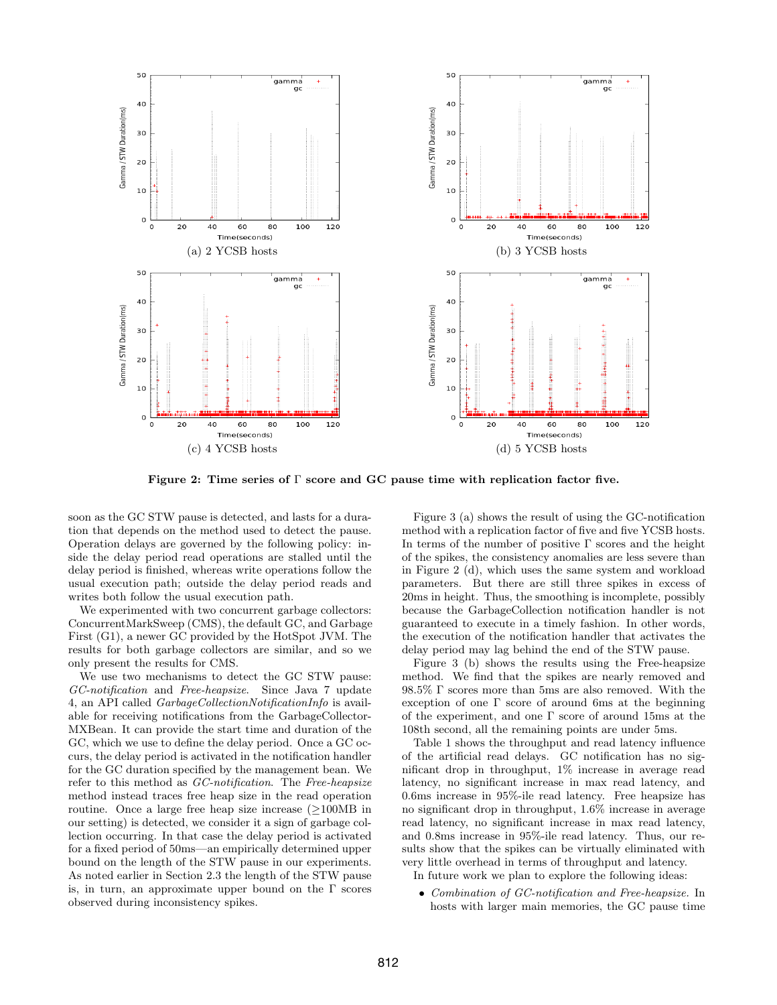

Figure 2: Time series of  $\Gamma$  score and GC pause time with replication factor five.

soon as the GC STW pause is detected, and lasts for a duration that depends on the method used to detect the pause. Operation delays are governed by the following policy: inside the delay period read operations are stalled until the delay period is finished, whereas write operations follow the usual execution path; outside the delay period reads and writes both follow the usual execution path.

We experimented with two concurrent garbage collectors: ConcurrentMarkSweep (CMS), the default GC, and Garbage First (G1), a newer GC provided by the HotSpot JVM. The results for both garbage collectors are similar, and so we only present the results for CMS.

We use two mechanisms to detect the GC STW pause: GC-notification and Free-heapsize. Since Java 7 update 4, an API called GarbageCollectionNotificationInfo is available for receiving notifications from the GarbageCollector-MXBean. It can provide the start time and duration of the GC, which we use to define the delay period. Once a GC occurs, the delay period is activated in the notification handler for the GC duration specified by the management bean. We refer to this method as GC-notification. The Free-heapsize method instead traces free heap size in the read operation routine. Once a large free heap size increase  $(\geq 100MB)$  in our setting) is detected, we consider it a sign of garbage collection occurring. In that case the delay period is activated for a fixed period of 50ms—an empirically determined upper bound on the length of the STW pause in our experiments. As noted earlier in Section 2.3 the length of the STW pause is, in turn, an approximate upper bound on the  $\Gamma$  scores observed during inconsistency spikes.

Figure 3 (a) shows the result of using the GC-notification method with a replication factor of five and five YCSB hosts. In terms of the number of positive  $\Gamma$  scores and the height of the spikes, the consistency anomalies are less severe than in Figure 2 (d), which uses the same system and workload parameters. But there are still three spikes in excess of 20ms in height. Thus, the smoothing is incomplete, possibly because the GarbageCollection notification handler is not guaranteed to execute in a timely fashion. In other words, the execution of the notification handler that activates the delay period may lag behind the end of the STW pause.

Figure 3 (b) shows the results using the Free-heapsize method. We find that the spikes are nearly removed and 98.5% Γ scores more than 5ms are also removed. With the exception of one  $\Gamma$  score of around 6ms at the beginning of the experiment, and one Γ score of around 15ms at the 108th second, all the remaining points are under 5ms.

Table 1 shows the throughput and read latency influence of the artificial read delays. GC notification has no significant drop in throughput, 1% increase in average read latency, no significant increase in max read latency, and 0.6ms increase in 95%-ile read latency. Free heapsize has no significant drop in throughput, 1.6% increase in average read latency, no significant increase in max read latency, and 0.8ms increase in 95%-ile read latency. Thus, our results show that the spikes can be virtually eliminated with very little overhead in terms of throughput and latency.

In future work we plan to explore the following ideas:

• Combination of GC-notification and Free-heapsize. In hosts with larger main memories, the GC pause time